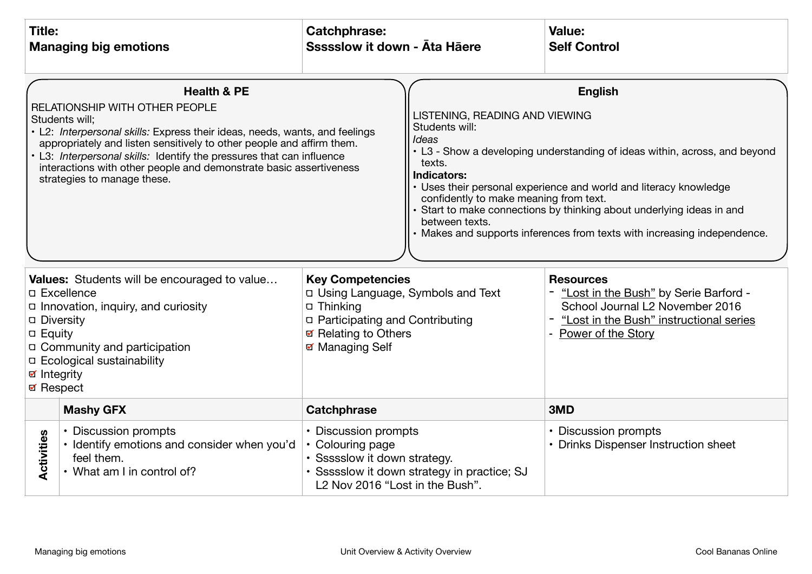| <b>Title:</b><br><b>Managing big emotions</b>                                                                                                                                                                                                                                                                                                                                                                                                                                                                                                                                                                                                        |                                                                                                                 | <b>Catchphrase:</b><br>Ssssslow it down - Ata Haere                                                                                                                                                                                                                                                               |  | Value:<br><b>Self Control</b>                                                                                                                                                                                                                                                                                                                                                                                                                                                           |
|------------------------------------------------------------------------------------------------------------------------------------------------------------------------------------------------------------------------------------------------------------------------------------------------------------------------------------------------------------------------------------------------------------------------------------------------------------------------------------------------------------------------------------------------------------------------------------------------------------------------------------------------------|-----------------------------------------------------------------------------------------------------------------|-------------------------------------------------------------------------------------------------------------------------------------------------------------------------------------------------------------------------------------------------------------------------------------------------------------------|--|-----------------------------------------------------------------------------------------------------------------------------------------------------------------------------------------------------------------------------------------------------------------------------------------------------------------------------------------------------------------------------------------------------------------------------------------------------------------------------------------|
| <b>Health &amp; PE</b><br>RELATIONSHIP WITH OTHER PEOPLE<br>Students will:<br>• L2: Interpersonal skills: Express their ideas, needs, wants, and feelings<br>appropriately and listen sensitively to other people and affirm them.<br>• L3: Interpersonal skills: Identify the pressures that can influence<br>interactions with other people and demonstrate basic assertiveness<br>strategies to manage these.<br><b>Values:</b> Students will be encouraged to value<br><b>D</b> Excellence<br>□ Innovation, inquiry, and curiosity<br><b>Diversity</b><br><b>D</b> Equity<br>□ Community and participation<br><b>D</b> Ecological sustainability |                                                                                                                 | LISTENING, READING AND VIEWING<br>Students will:<br>Ideas<br>texts.<br><b>Indicators:</b><br>confidently to make meaning from text.<br>between texts.<br><b>Key Competencies</b><br>D Using Language, Symbols and Text<br>Thinking<br>p Participating and Contributing<br>☑ Relating to Others<br>☑ Managing Self |  | <b>English</b><br>• L3 - Show a developing understanding of ideas within, across, and beyond<br>Uses their personal experience and world and literacy knowledge<br>Start to make connections by thinking about underlying ideas in and<br>Makes and supports inferences from texts with increasing independence.<br><b>Resources</b><br>- "Lost in the Bush" by Serie Barford -<br>School Journal L2 November 2016<br>- "Lost in the Bush" instructional series<br>- Power of the Story |
| <b>Ø</b> Respect                                                                                                                                                                                                                                                                                                                                                                                                                                                                                                                                                                                                                                     | <b>Mashy GFX</b><br><b>Catchphrase</b>                                                                          |                                                                                                                                                                                                                                                                                                                   |  | 3MD                                                                                                                                                                                                                                                                                                                                                                                                                                                                                     |
| Activities                                                                                                                                                                                                                                                                                                                                                                                                                                                                                                                                                                                                                                           | • Discussion prompts<br>· Identify emotions and consider when you'd<br>feel them.<br>• What am I in control of? | • Discussion prompts<br>• Colouring page<br>· Ssssslow it down strategy.<br>· Ssssslow it down strategy in practice; SJ<br>L <sub>2</sub> Nov 2016 "Lost in the Bush".                                                                                                                                            |  | • Discussion prompts<br>• Drinks Dispenser Instruction sheet                                                                                                                                                                                                                                                                                                                                                                                                                            |